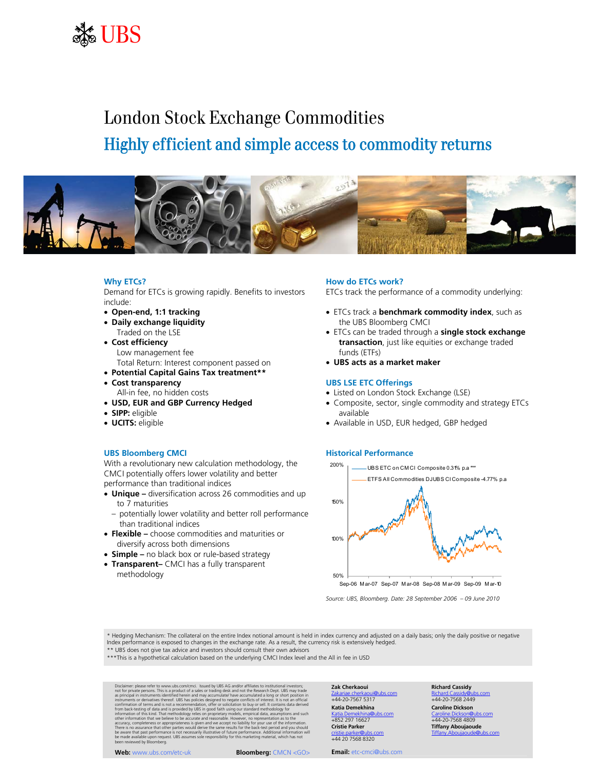

## London Stock Exchange Commodities Highly efficient and simple access to commodity returns



## **Why ETCs?**

Demand for ETCs is growing rapidly. Benefits to investors include:

- **Open-end, 1:1 tracking**
- **Daily exchange liquidity** Traded on the LSE
- **Cost efficiency** Low management fee Total Return: Interest component passed on
- **Potential Capital Gains Tax treatment\*\***
- **Cost transparency**
	- All-in fee, no hidden costs
- **USD, EUR and GBP Currency Hedged**
- **SIPP:** eligible
- **UCITS:** eligible

## **UBS Bloomberg CMCI**

With a revolutionary new calculation methodology, the CMCI potentially offers lower volatility and better performance than traditional indices

- **Unique –** diversification across 26 commodities and up to 7 maturities
	- potentially lower volatility and better roll performance than traditional indices
- **Flexible –** choose commodities and maturities or diversify across both dimensions
- **Simple –** no black box or rule-based strategy
- **Transparent–** CMCI has a fully transparent methodology

## **How do ETCs work?**

ETCs track the performance of a commodity underlying:

- ETCs track a **benchmark commodity index**, such as the UBS Bloomberg CMCI
- ETCs can be traded through a **single stock exchange transaction**, just like equities or exchange traded funds (ETFs)
- **UBS acts as a market maker**

### **UBS LSE ETC Offerings**

- Listed on London Stock Exchange (LSE)
- Composite, sector, single commodity and strategy ETCs available
- Available in USD, EUR hedged, GBP hedged

#### **Historical Performance**



*Source: UBS, Bloomberg. Date: 28 September 2006 – 09 June 2010*

\* Hedging Mechanism: The collateral on the entire Index notional amount is held in index currency and adjusted on a daily basis; only the daily positive or negative Index performance is exposed to changes in the exchange rate. As a result, the currency risk is extensively hedged.

\*\* UBS does not give tax advice and investors should consult their own advisors

\*\*\*This is a hypothetical calculation based on the underlying CMCI Index level and the All in fee in USD

Dischimer: please refer to www. ubs. com/cmci. Issued by UBS AG and/or affiliates to institutional investors;<br>not for private persons. This is a product of a sales or trading desk and not the Research Dept. UBS may trade<br> be aware that past performance is not necessarily illustrative of future performance. Additional information will<br>be made available upon request. UBS assumes sole responsibility for this marketing material, which has not<br>b

**Web:** www.ubs.com/etc-uk **Bloomberg:** CMCN <GO>

## Zakariae.cherkaoui@ubs.com Richard.Cassidy@ubs.com +44-20-7567 5317 +44-20-7568 2449 **Katia Demekhina Caroline Dickson**

**Cristie Parker Tiffany Aboujaoude** cristie.parker@ubs.com Tiffany.Aboujaoude@ubs.com +44 20 7568 8320

**Email:** etc-cmci@ubs.com

**Zak Cherkaoui Richard Cassidy**

Katia.Demekhina@ubs.com Caroline.Dickson@ubs.com +852 297 16627 +44-20-7568 4809